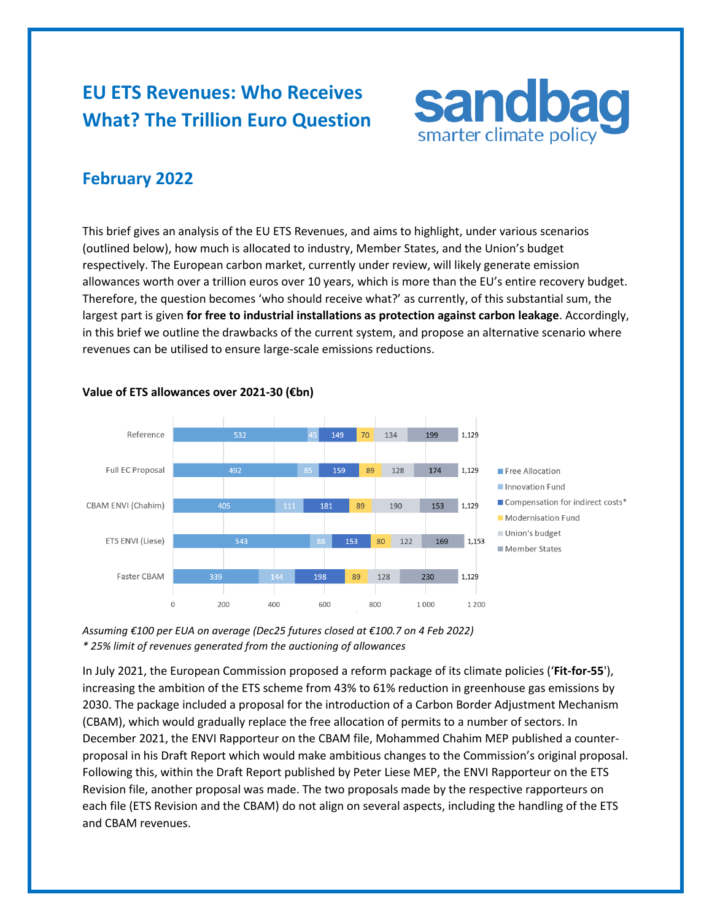# **EU ETS Revenues: Who Receives What? The Trillion Euro Question**



## **February 2022**

This brief gives an analysis of the EU ETS Revenues, and aims to highlight, under various scenarios (outlined below), how much is allocated to industry, Member States, and the Union's budget respectively. The European carbon market, currently under review, will likely generate emission allowances worth over a trillion euros over 10 years, which is more than the EU's entire recovery budget. Therefore, the question becomes 'who should receive what?' as currently, of this substantial sum, the largest part is given **for free to industrial installations as protection against carbon leakage**. Accordingly, in this brief we outline the drawbacks of the current system, and propose an alternative scenario where revenues can be utilised to ensure large-scale emissions reductions.



#### **Value of ETS allowances over 2021-30 (€bn)**

*Assuming €100 per EUA on average (Dec25 futures closed at €100.7 on 4 Feb 2022) \* 25% limit of revenues generated from the auctioning of allowances*

In July 2021, the European Commission proposed a reform package of its climate policies ('**Fit-for-55**'), increasing the ambition of the ETS scheme from 43% to 61% reduction in greenhouse gas emissions by 2030. The package included a proposal for the introduction of a Carbon Border Adjustment Mechanism (CBAM), which would gradually replace the free allocation of permits to a number of sectors. In December 2021, the ENVI Rapporteur on the CBAM file, Mohammed Chahim MEP published a counterproposal in his Draft Report which would make ambitious changes to the Commission's original proposal. Following this, within the Draft Report published by Peter Liese MEP, the ENVI Rapporteur on the ETS Revision file, another proposal was made. The two proposals made by the respective rapporteurs on each file (ETS Revision and the CBAM) do not align on several aspects, including the handling of the ETS and CBAM revenues.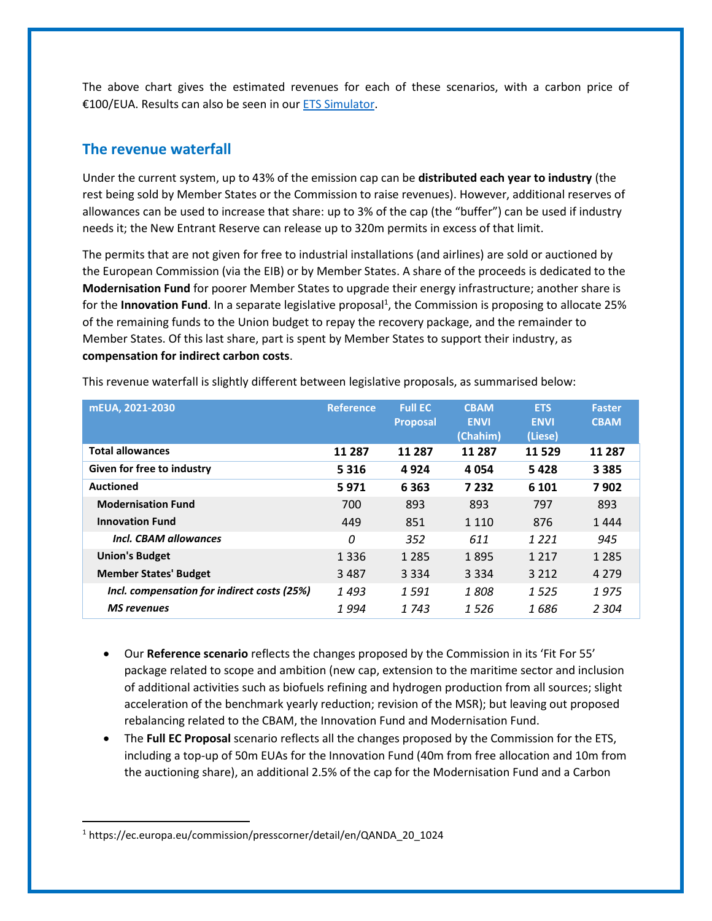The above chart gives the estimated revenues for each of these scenarios, with a carbon price of €100/EUA. Results can also be seen in ou[r ETS Simulator.](https://sandbag.be/index.php/euets-simulator/)

## **The revenue waterfall**

Under the current system, up to 43% of the emission cap can be **distributed each year to industry** (the rest being sold by Member States or the Commission to raise revenues). However, additional reserves of allowances can be used to increase that share: up to 3% of the cap (the "buffer") can be used if industry needs it; the New Entrant Reserve can release up to 320m permits in excess of that limit.

The permits that are not given for free to industrial installations (and airlines) are sold or auctioned by the European Commission (via the EIB) or by Member States. A share of the proceeds is dedicated to the **Modernisation Fund** for poorer Member States to upgrade their energy infrastructure; another share is for the **Innovation Fund**. In a separate legislative proposal<sup>1</sup>, the Commission is proposing to allocate 25% of the remaining funds to the Union budget to repay the recovery package, and the remainder to Member States. Of this last share, part is spent by Member States to support their industry, as **compensation for indirect carbon costs**.

| mEUA, 2021-2030                             | <b>Reference</b> | <b>Full EC</b>  | <b>CBAM</b> | <b>ETS</b>  | <b>Faster</b> |
|---------------------------------------------|------------------|-----------------|-------------|-------------|---------------|
|                                             |                  | <b>Proposal</b> | <b>ENVI</b> | <b>ENVI</b> | <b>CBAM</b>   |
|                                             |                  |                 | (Chahim)    | (Liese)     |               |
| <b>Total allowances</b>                     | 11 287           | 11 287          | 11 287      | 11529       | 11 287        |
| Given for free to industry                  | 5 3 1 6          | 4924            | 4054        | 5428        | 3 3 8 5       |
| <b>Auctioned</b>                            | 5971             | 6 3 6 3         | 7 2 3 2     | 6 10 1      | 7902          |
| <b>Modernisation Fund</b>                   | 700              | 893             | 893         | 797         | 893           |
| <b>Innovation Fund</b>                      | 449              | 851             | 1 1 1 0     | 876         | 1444          |
| Incl. CBAM allowances                       | 0                | 352             | 611         | 1 2 2 1     | 945           |
| <b>Union's Budget</b>                       | 1 3 3 6          | 1 2 8 5         | 1895        | 1 2 1 7     | 1 2 8 5       |
| <b>Member States' Budget</b>                | 3487             | 3 3 3 4         | 3 3 3 4     | 3 2 1 2     | 4 2 7 9       |
| Incl. compensation for indirect costs (25%) | 1493             | 1591            | 1 808       | 1525        | 1975          |
| <b>MS</b> revenues                          | 1 994            | 1 743           | 1526        | 1 686       | 2 3 0 4       |

This revenue waterfall is slightly different between legislative proposals, as summarised below:

- Our **Reference scenario** reflects the changes proposed by the Commission in its 'Fit For 55' package related to scope and ambition (new cap, extension to the maritime sector and inclusion of additional activities such as biofuels refining and hydrogen production from all sources; slight acceleration of the benchmark yearly reduction; revision of the MSR); but leaving out proposed rebalancing related to the CBAM, the Innovation Fund and Modernisation Fund.
- The **Full EC Proposal** scenario reflects all the changes proposed by the Commission for the ETS, including a top-up of 50m EUAs for the Innovation Fund (40m from free allocation and 10m from the auctioning share), an additional 2.5% of the cap for the Modernisation Fund and a Carbon

<sup>1</sup> https://ec.europa.eu/commission/presscorner/detail/en/QANDA\_20\_1024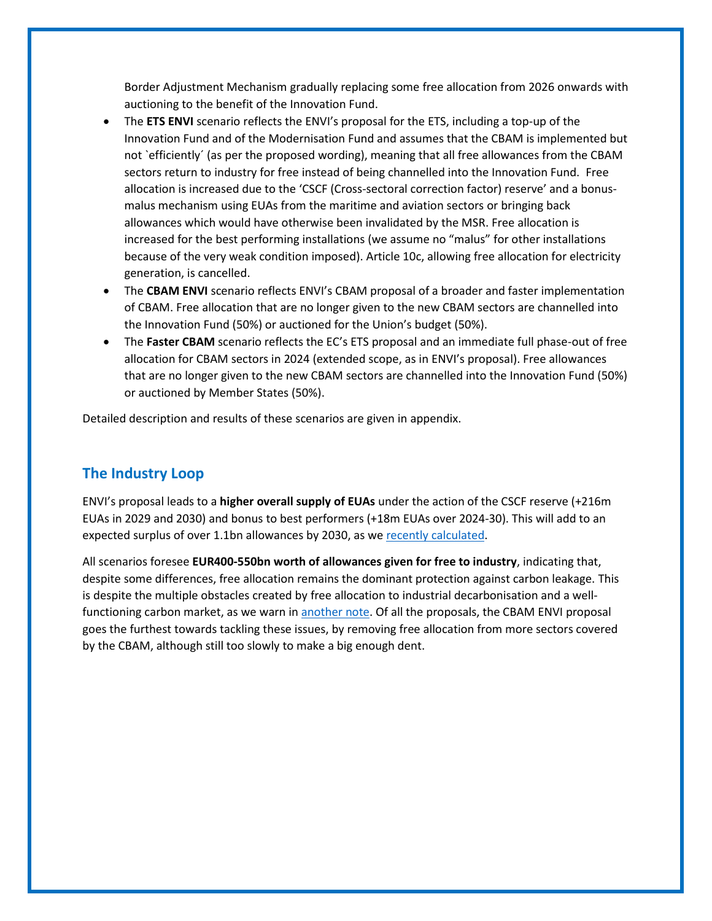Border Adjustment Mechanism gradually replacing some free allocation from 2026 onwards with auctioning to the benefit of the Innovation Fund.

- The **ETS ENVI** scenario reflects the ENVI's proposal for the ETS, including a top-up of the Innovation Fund and of the Modernisation Fund and assumes that the CBAM is implemented but not `efficiently´ (as per the proposed wording), meaning that all free allowances from the CBAM sectors return to industry for free instead of being channelled into the Innovation Fund. Free allocation is increased due to the 'CSCF (Cross-sectoral correction factor) reserve' and a bonusmalus mechanism using EUAs from the maritime and aviation sectors or bringing back allowances which would have otherwise been invalidated by the MSR. Free allocation is increased for the best performing installations (we assume no "malus" for other installations because of the very weak condition imposed). Article 10c, allowing free allocation for electricity generation, is cancelled.
- The **CBAM ENVI** scenario reflects ENVI's CBAM proposal of a broader and faster implementation of CBAM. Free allocation that are no longer given to the new CBAM sectors are channelled into the Innovation Fund (50%) or auctioned for the Union's budget (50%).
- The **Faster CBAM** scenario reflects the EC's ETS proposal and an immediate full phase-out of free allocation for CBAM sectors in 2024 (extended scope, as in ENVI's proposal). Free allowances that are no longer given to the new CBAM sectors are channelled into the Innovation Fund (50%) or auctioned by Member States (50%).

Detailed description and results of these scenarios are given in appendix.

## **The Industry Loop**

ENVI's proposal leads to a **higher overall supply of EUAs** under the action of the CSCF reserve (+216m EUAs in 2029 and 2030) and bonus to best performers (+18m EUAs over 2024-30). This will add to an expected surplus of over 1.1bn allowances by 2030, as we [recently calculated.](https://sandbag.be/index.php/2021/09/30/impact-of-eu-ets-reform-letting-industry-loose/)

All scenarios foresee **EUR400-550bn worth of allowances given for free to industry**, indicating that, despite some differences, free allocation remains the dominant protection against carbon leakage. This is despite the multiple obstacles created by free allocation to industrial decarbonisation and a wellfunctioning carbon market, as we warn in [another note.](https://sandbag.be/index.php/2021/12/17/why-free-allocation-in-the-eu-ets-must-stop-urgently/) Of all the proposals, the CBAM ENVI proposal goes the furthest towards tackling these issues, by removing free allocation from more sectors covered by the CBAM, although still too slowly to make a big enough dent.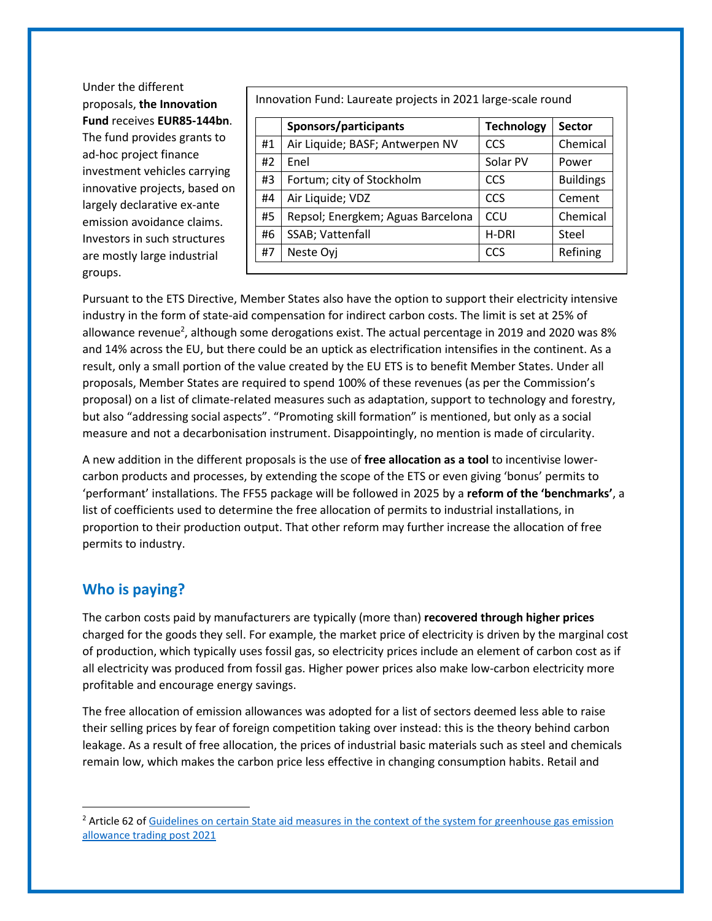Under the different proposals, **the Innovation Fund** receives **EUR85-144bn**. The fund provides grants to ad-hoc project finance investment vehicles carrying innovative projects, based on largely declarative ex-ante emission avoidance claims. Investors in such structures are mostly large industrial groups.

Innovation Fund: Laureate projects in 2021 large-scale round

|    | Sponsors/participants             | <b>Technology</b> | <b>Sector</b>    |
|----|-----------------------------------|-------------------|------------------|
| #1 | Air Liquide; BASF; Antwerpen NV   | CCS               | Chemical         |
| #2 | Enel                              | Solar PV          | Power            |
| #3 | Fortum; city of Stockholm         | CCS               | <b>Buildings</b> |
| #4 | Air Liquide; VDZ                  | CCS               | Cement           |
| #5 | Repsol; Energkem; Aguas Barcelona | CCU               | Chemical         |
| #6 | SSAB; Vattenfall                  | H-DRI             | Steel            |
| #7 | Neste Oyj                         | CCS               | Refining         |
|    |                                   |                   |                  |

Pursuant to the ETS Directive, Member States also have the option to support their electricity intensive industry in the form of state-aid compensation for indirect carbon costs. The limit is set at 25% of allowance revenue<sup>2</sup>, although some derogations exist. The actual percentage in 2019 and 2020 was 8% and 14% across the EU, but there could be an uptick as electrification intensifies in the continent. As a result, only a small portion of the value created by the EU ETS is to benefit Member States. Under all proposals, Member States are required to spend 100% of these revenues (as per the Commission's proposal) on a list of climate-related measures such as adaptation, support to technology and forestry, but also "addressing social aspects". "Promoting skill formation" is mentioned, but only as a social measure and not a decarbonisation instrument. Disappointingly, no mention is made of circularity.

A new addition in the different proposals is the use of **free allocation as a tool** to incentivise lowercarbon products and processes, by extending the scope of the ETS or even giving 'bonus' permits to 'performant' installations. The FF55 package will be followed in 2025 by a **reform of the 'benchmarks'**, a list of coefficients used to determine the free allocation of permits to industrial installations, in proportion to their production output. That other reform may further increase the allocation of free permits to industry.

## **Who is paying?**

The carbon costs paid by manufacturers are typically (more than) **recovered through higher prices** charged for the goods they sell. For example, the market price of electricity is driven by the marginal cost of production, which typically uses fossil gas, so electricity prices include an element of carbon cost as if all electricity was produced from fossil gas. Higher power prices also make low-carbon electricity more profitable and encourage energy savings.

The free allocation of emission allowances was adopted for a list of sectors deemed less able to raise their selling prices by fear of foreign competition taking over instead: this is the theory behind carbon leakage. As a result of free allocation, the prices of industrial basic materials such as steel and chemicals remain low, which makes the carbon price less effective in changing consumption habits. Retail and

<sup>&</sup>lt;sup>2</sup> Article 62 of Guidelines on certain State aid measures in the context of the system for greenhouse gas emission [allowance trading post 2021](https://eur-lex.europa.eu/legal-content/EN/TXT/?uri=CELEX%3A52020XC0925%2801%29)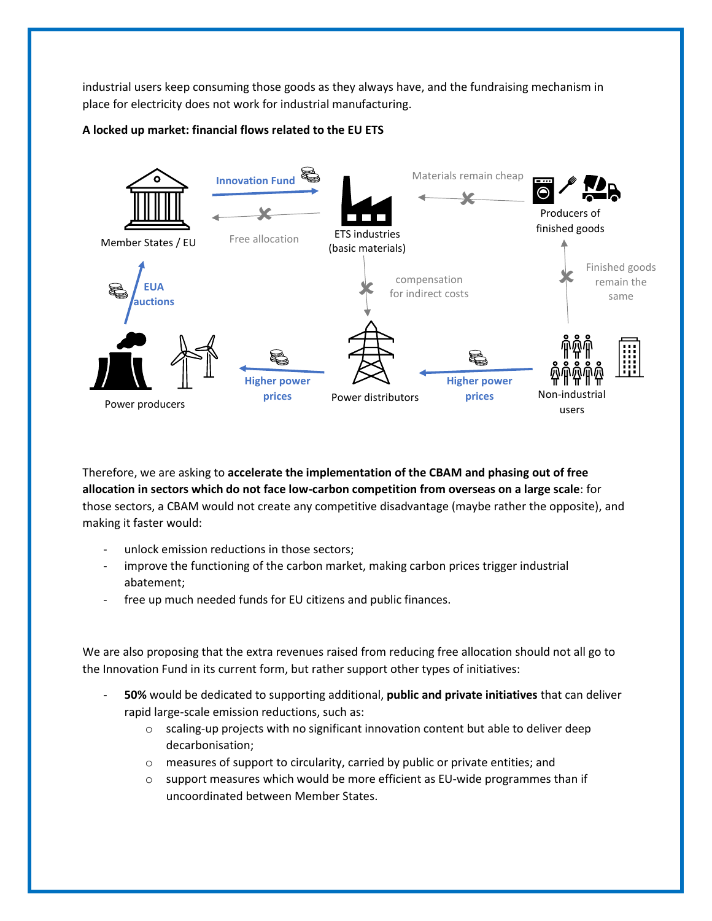industrial users keep consuming those goods as they always have, and the fundraising mechanism in place for electricity does not work for industrial manufacturing.

## **A locked up market: financial flows related to the EU ETS**



Therefore, we are asking to **accelerate the implementation of the CBAM and phasing out of free allocation in sectors which do not face low-carbon competition from overseas on a large scale**: for those sectors, a CBAM would not create any competitive disadvantage (maybe rather the opposite), and making it faster would:

- unlock emission reductions in those sectors;
- improve the functioning of the carbon market, making carbon prices trigger industrial abatement;
- free up much needed funds for EU citizens and public finances.

We are also proposing that the extra revenues raised from reducing free allocation should not all go to the Innovation Fund in its current form, but rather support other types of initiatives:

- **50%** would be dedicated to supporting additional, **public and private initiatives** that can deliver rapid large-scale emission reductions, such as:
	- o scaling-up projects with no significant innovation content but able to deliver deep decarbonisation;
	- $\circ$  measures of support to circularity, carried by public or private entities; and
	- $\circ$  support measures which would be more efficient as EU-wide programmes than if uncoordinated between Member States.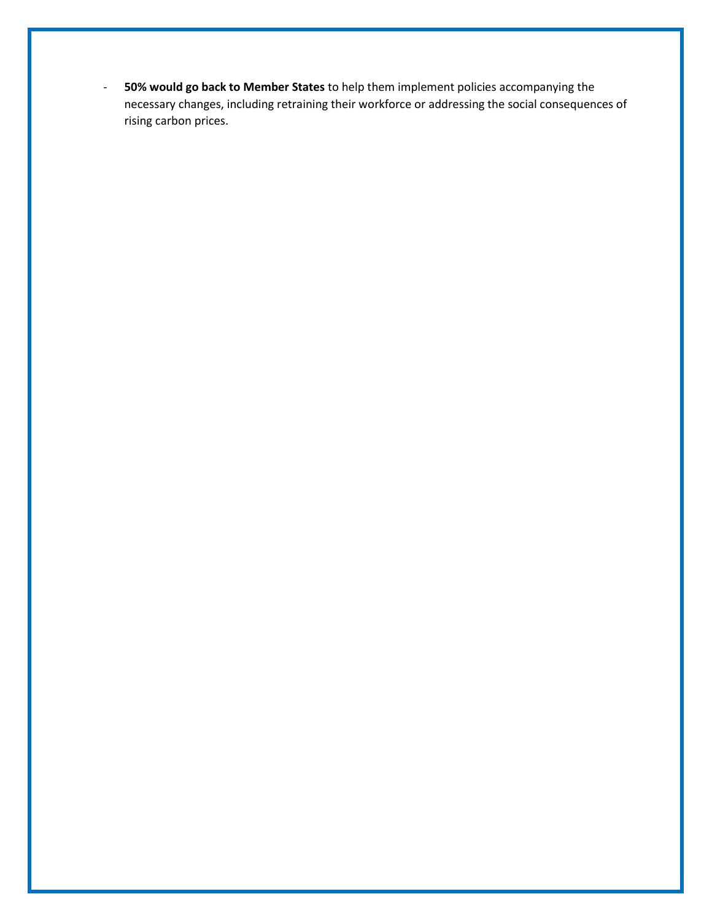- **50% would go back to Member States** to help them implement policies accompanying the necessary changes, including retraining their workforce or addressing the social consequences of rising carbon prices.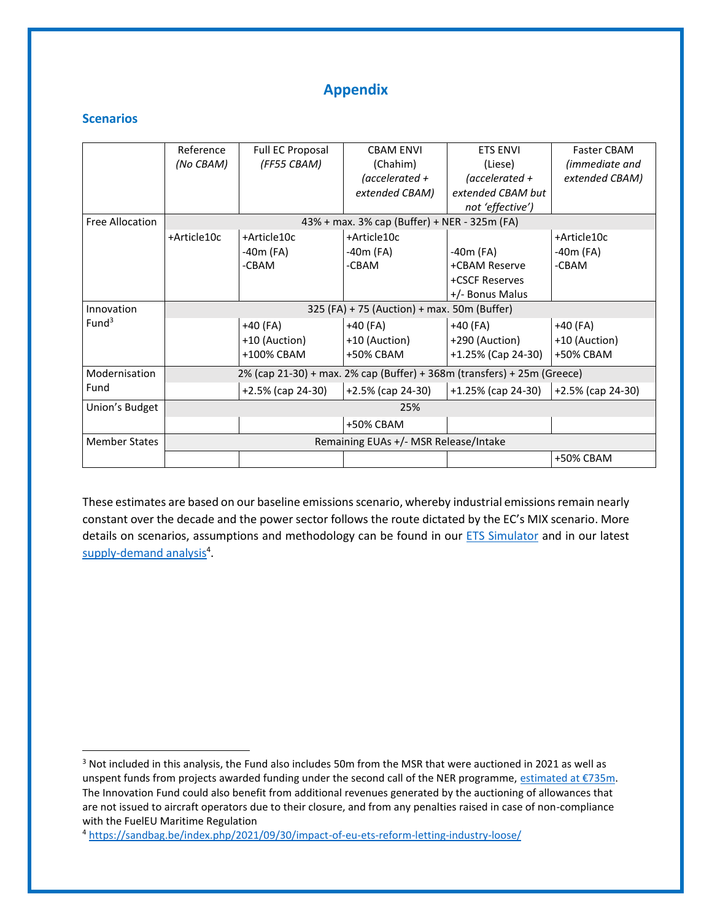## **Appendix**

#### **Scenarios**

|                        | Reference                                                               | Full EC Proposal     | <b>CBAM ENVI</b>                             | <b>ETS ENVI</b>       | <b>Faster CBAM</b>   |
|------------------------|-------------------------------------------------------------------------|----------------------|----------------------------------------------|-----------------------|----------------------|
|                        | (No CBAM)                                                               | (FF55 CBAM)          | (Chahim)                                     | (Liese)               | (immediate and       |
|                        |                                                                         |                      | (accelerated $+$                             | (accelerated $+$      | extended CBAM)       |
|                        |                                                                         |                      | extended CBAM)                               | extended CBAM but     |                      |
|                        |                                                                         |                      |                                              | not 'effective')      |                      |
| <b>Free Allocation</b> |                                                                         |                      | 43% + max. 3% cap (Buffer) + NER - 325m (FA) |                       |                      |
|                        | +Article10c                                                             | +Article10c          | +Article10c                                  |                       | +Article10c          |
|                        |                                                                         | -40m (FA)            | -40m (FA)                                    | $-40m$ (FA)           | -40m (FA)            |
|                        |                                                                         | -CBAM                | -CBAM                                        | +CBAM Reserve         | -CBAM                |
|                        |                                                                         |                      |                                              | +CSCF Reserves        |                      |
|                        |                                                                         |                      |                                              | +/- Bonus Malus       |                      |
| Innovation             | 325 (FA) + 75 (Auction) + max. 50m (Buffer)                             |                      |                                              |                       |                      |
| Fund <sup>3</sup>      |                                                                         | +40 (FA)             | $+40$ (FA)                                   | $+40$ (FA)            | $+40$ (FA)           |
|                        |                                                                         | +10 (Auction)        | +10 (Auction)                                | +290 (Auction)        | +10 (Auction)        |
|                        |                                                                         | +100% CBAM           | +50% CBAM                                    | +1.25% (Cap 24-30)    | +50% CBAM            |
| Modernisation          | 2% (cap 21-30) + max. 2% cap (Buffer) + 368m (transfers) + 25m (Greece) |                      |                                              |                       |                      |
| Fund                   |                                                                         | $+2.5\%$ (cap 24-30) | $+2.5\%$ (cap 24-30)                         | $+1.25\%$ (cap 24-30) | $+2.5\%$ (cap 24-30) |
| Union's Budget         | 25%                                                                     |                      |                                              |                       |                      |
|                        |                                                                         |                      | +50% CBAM                                    |                       |                      |
| <b>Member States</b>   | Remaining EUAs +/- MSR Release/Intake                                   |                      |                                              |                       |                      |
|                        |                                                                         |                      |                                              |                       | +50% CBAM            |

These estimates are based on our baseline emissions scenario, whereby industrial emissions remain nearly constant over the decade and the power sector follows the route dictated by the EC's MIX scenario. More details on scenarios, assumptions and methodology can be found in our [ETS Simulator](https://sandbag.be/index.php/euets-simulator/) and in our latest [supply-demand analysis](https://sandbag.be/index.php/2021/09/30/impact-of-eu-ets-reform-letting-industry-loose/)<sup>4</sup>.

<sup>4</sup> <https://sandbag.be/index.php/2021/09/30/impact-of-eu-ets-reform-letting-industry-loose/>

<sup>&</sup>lt;sup>3</sup> Not included in this analysis, the Fund also includes 50m from the MSR that were auctioned in 2021 as well as unspent funds from projects awarded funding under the second call of the NER programme, [estimated at €735m](https://ec.europa.eu/clima/eu-action/funding-climate-action/ner-300-programme_en#ecl-inpage-1581). The Innovation Fund could also benefit from additional revenues generated by the auctioning of allowances that are not issued to aircraft operators due to their closure, and from any penalties raised in case of non-compliance with the FuelEU Maritime Regulation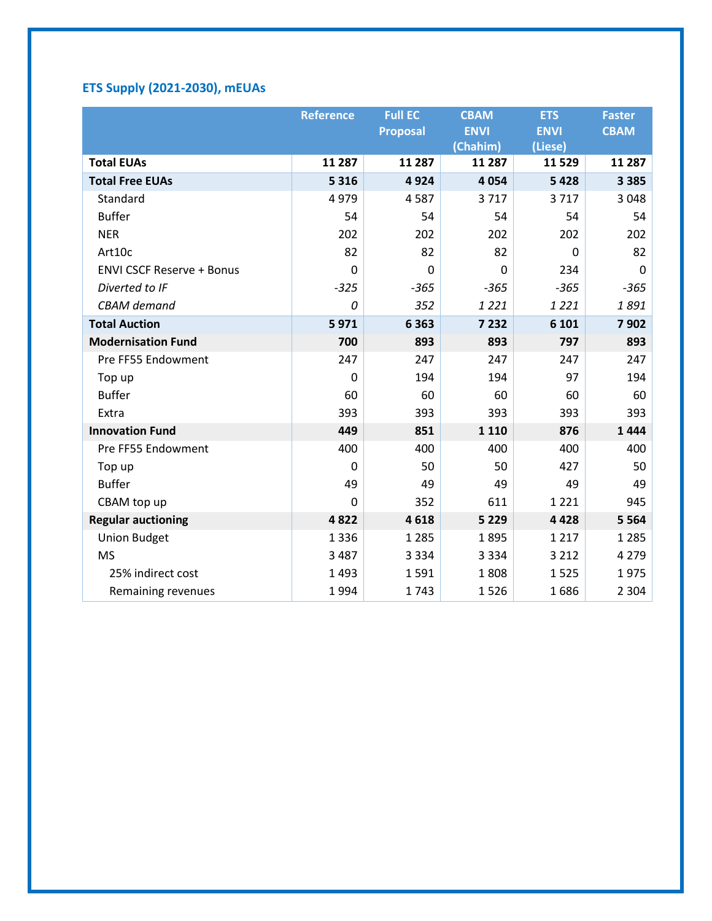## **ETS Supply (2021-2030), mEUAs**

|                                  | <b>Reference</b> | <b>Full EC</b>  | <b>CBAM</b> | <b>ETS</b>  | <b>Faster</b> |
|----------------------------------|------------------|-----------------|-------------|-------------|---------------|
|                                  |                  | <b>Proposal</b> | <b>ENVI</b> | <b>ENVI</b> | <b>CBAM</b>   |
|                                  |                  |                 | (Chahim)    | (Liese)     |               |
| <b>Total EUAs</b>                | 11 287           | 11 287          | 11 287      | 11529       | 11 287        |
| <b>Total Free EUAs</b>           | 5 3 1 6          | 4924            | 4 0 5 4     | 5428        | 3 3 8 5       |
| Standard                         | 4979             | 4587            | 3717        | 3717        | 3 0 4 8       |
| <b>Buffer</b>                    | 54               | 54              | 54          | 54          | 54            |
| <b>NER</b>                       | 202              | 202             | 202         | 202         | 202           |
| Art10c                           | 82               | 82              | 82          | 0           | 82            |
| <b>ENVI CSCF Reserve + Bonus</b> | 0                | $\mathbf 0$     | 0           | 234         | 0             |
| Diverted to IF                   | $-325$           | $-365$          | $-365$      | $-365$      | $-365$        |
| <b>CBAM</b> demand               | 0                | 352             | 1 2 2 1     | 1 2 2 1     | 1891          |
| <b>Total Auction</b>             | 5971             | 6 3 6 3         | 7 2 3 2     | 6 101       | 7902          |
| <b>Modernisation Fund</b>        | 700              | 893             | 893         | 797         | 893           |
| Pre FF55 Endowment               | 247              | 247             | 247         | 247         | 247           |
| Top up                           | 0                | 194             | 194         | 97          | 194           |
| <b>Buffer</b>                    | 60               | 60              | 60          | 60          | 60            |
| Extra                            | 393              | 393             | 393         | 393         | 393           |
| <b>Innovation Fund</b>           | 449              | 851             | 1 1 1 0     | 876         | 1444          |
| Pre FF55 Endowment               | 400              | 400             | 400         | 400         | 400           |
| Top up                           | $\Omega$         | 50              | 50          | 427         | 50            |
| <b>Buffer</b>                    | 49               | 49              | 49          | 49          | 49            |
| CBAM top up                      | 0                | 352             | 611         | 1 2 2 1     | 945           |
| <b>Regular auctioning</b>        | 4822             | 4618            | 5 2 2 9     | 4 4 2 8     | 5 5 6 4       |
| <b>Union Budget</b>              | 1 3 3 6          | 1 2 8 5         | 1895        | 1 2 1 7     | 1 2 8 5       |
| <b>MS</b>                        | 3 4 8 7          | 3 3 3 4         | 3 3 3 4     | 3 2 1 2     | 4 2 7 9       |
| 25% indirect cost                | 1 4 9 3          | 1591            | 1808        | 1525        | 1975          |
| Remaining revenues               | 1994             | 1743            | 1526        | 1686        | 2 3 0 4       |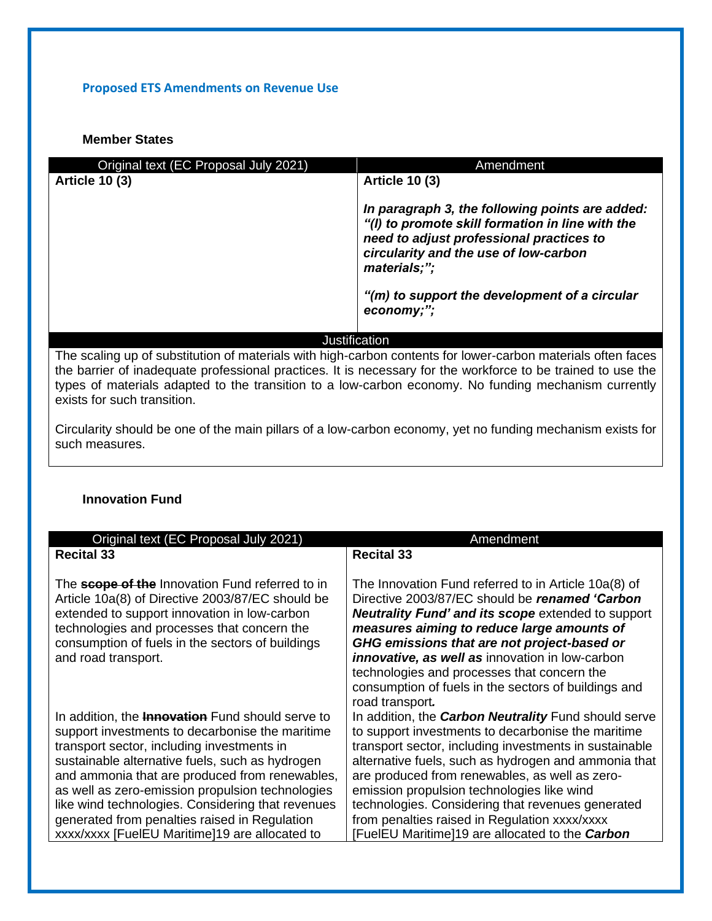## **Proposed ETS Amendments on Revenue Use**

## **Member States**

| Original text (EC Proposal July 2021) | Amendment                                                                                                                                                                                                                    |
|---------------------------------------|------------------------------------------------------------------------------------------------------------------------------------------------------------------------------------------------------------------------------|
| <b>Article 10 (3)</b>                 | <b>Article 10 (3)</b>                                                                                                                                                                                                        |
|                                       | In paragraph 3, the following points are added:<br>"(I) to promote skill formation in line with the<br>need to adjust professional practices to<br>circularity and the use of low-carbon<br>materials;";                     |
|                                       | "(m) to support the development of a circular<br>economy;";                                                                                                                                                                  |
|                                       | Justification                                                                                                                                                                                                                |
|                                       | The scaling up of substitution of materials with high-carbon contents for lower-carbon materials often faces<br>the berrier of inadequate professional proctices. It is necessary for the workforce to be trained to use the |

the barrier of inadequate professional practices. It is necessary for the workforce to be trained to use the types of materials adapted to the transition to a low-carbon economy. No funding mechanism currently exists for such transition.

Circularity should be one of the main pillars of a low-carbon economy, yet no funding mechanism exists for such measures.

## **Innovation Fund**

| Original text (EC Proposal July 2021)                                                                                                                                                                                                                                                                                                                                                                                                                                     | Amendment                                                                                                                                                                                                                                                                                                                                                                                                                                                                                    |
|---------------------------------------------------------------------------------------------------------------------------------------------------------------------------------------------------------------------------------------------------------------------------------------------------------------------------------------------------------------------------------------------------------------------------------------------------------------------------|----------------------------------------------------------------------------------------------------------------------------------------------------------------------------------------------------------------------------------------------------------------------------------------------------------------------------------------------------------------------------------------------------------------------------------------------------------------------------------------------|
| <b>Recital 33</b>                                                                                                                                                                                                                                                                                                                                                                                                                                                         | <b>Recital 33</b>                                                                                                                                                                                                                                                                                                                                                                                                                                                                            |
| The <b>scope of the</b> Innovation Fund referred to in<br>Article 10a(8) of Directive 2003/87/EC should be<br>extended to support innovation in low-carbon<br>technologies and processes that concern the<br>consumption of fuels in the sectors of buildings<br>and road transport.                                                                                                                                                                                      | The Innovation Fund referred to in Article 10a(8) of<br>Directive 2003/87/EC should be renamed 'Carbon<br><b>Neutrality Fund' and its scope extended to support</b><br>measures aiming to reduce large amounts of<br>GHG emissions that are not project-based or<br><i>innovative, as well as innovation in low-carbon</i><br>technologies and processes that concern the<br>consumption of fuels in the sectors of buildings and<br>road transport.                                         |
| In addition, the <b>Innovation</b> Fund should serve to<br>support investments to decarbonise the maritime<br>transport sector, including investments in<br>sustainable alternative fuels, such as hydrogen<br>and ammonia that are produced from renewables,<br>as well as zero-emission propulsion technologies<br>like wind technologies. Considering that revenues<br>generated from penalties raised in Regulation<br>xxxx/xxxx [FuelEU Maritime]19 are allocated to | In addition, the <b>Carbon Neutrality</b> Fund should serve<br>to support investments to decarbonise the maritime<br>transport sector, including investments in sustainable<br>alternative fuels, such as hydrogen and ammonia that<br>are produced from renewables, as well as zero-<br>emission propulsion technologies like wind<br>technologies. Considering that revenues generated<br>from penalties raised in Regulation xxxx/xxxx<br>[FuelEU Maritime]19 are allocated to the Carbon |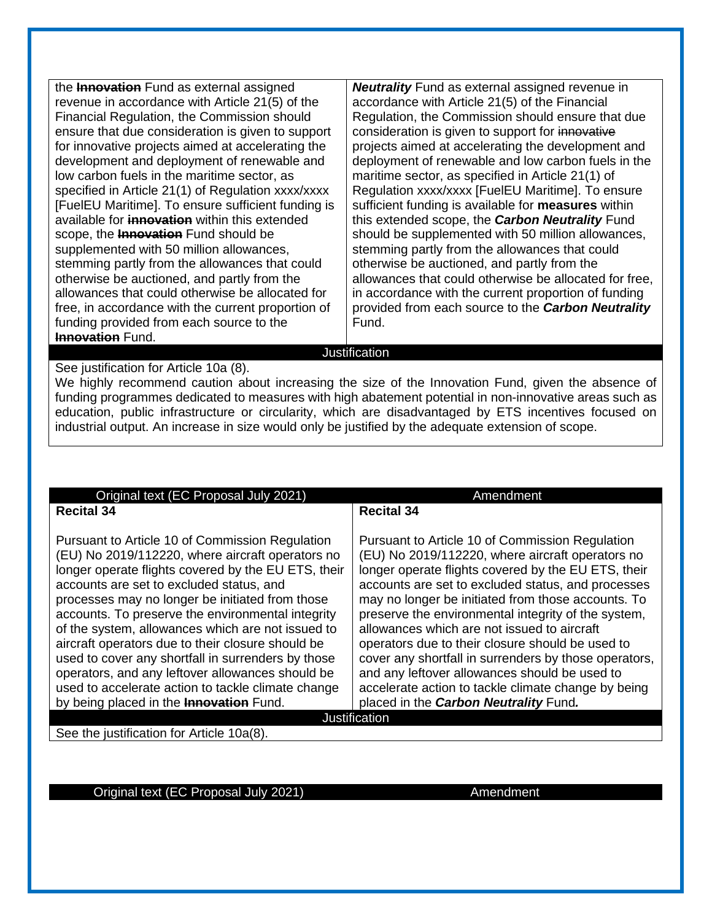the **Innovation** Fund as external assigned revenue in accordance with Article 21(5) of the Financial Regulation, the Commission should ensure that due consideration is given to support for innovative projects aimed at accelerating the development and deployment of renewable and low carbon fuels in the maritime sector, as specified in Article 21(1) of Regulation xxxx/xxxx [FuelEU Maritime]. To ensure sufficient funding is available for **innovation** within this extended scope, the **Innovation** Fund should be supplemented with 50 million allowances, stemming partly from the allowances that could otherwise be auctioned, and partly from the allowances that could otherwise be allocated for free, in accordance with the current proportion of funding provided from each source to the **Innovation** Fund.

*Neutrality* Fund as external assigned revenue in accordance with Article 21(5) of the Financial Regulation, the Commission should ensure that due consideration is given to support for innovative projects aimed at accelerating the development and deployment of renewable and low carbon fuels in the maritime sector, as specified in Article 21(1) of Regulation xxxx/xxxx [FuelEU Maritime]. To ensure sufficient funding is available for **measures** within this extended scope, the *Carbon Neutrality* Fund should be supplemented with 50 million allowances, stemming partly from the allowances that could otherwise be auctioned, and partly from the allowances that could otherwise be allocated for free, in accordance with the current proportion of funding provided from each source to the *Carbon Neutrality* Fund.

#### **Justification**

See justification for Article 10a (8).

We highly recommend caution about increasing the size of the Innovation Fund, given the absence of funding programmes dedicated to measures with high abatement potential in non-innovative areas such as education, public infrastructure or circularity, which are disadvantaged by ETS incentives focused on industrial output. An increase in size would only be justified by the adequate extension of scope.

| Original text (EC Proposal July 2021)               | Amendment                                             |  |
|-----------------------------------------------------|-------------------------------------------------------|--|
| <b>Recital 34</b>                                   | <b>Recital 34</b>                                     |  |
|                                                     |                                                       |  |
| Pursuant to Article 10 of Commission Regulation     | Pursuant to Article 10 of Commission Regulation       |  |
| (EU) No 2019/112220, where aircraft operators no    | (EU) No 2019/112220, where aircraft operators no      |  |
| longer operate flights covered by the EU ETS, their | longer operate flights covered by the EU ETS, their   |  |
| accounts are set to excluded status, and            | accounts are set to excluded status, and processes    |  |
| processes may no longer be initiated from those     | may no longer be initiated from those accounts. To    |  |
| accounts. To preserve the environmental integrity   | preserve the environmental integrity of the system,   |  |
| of the system, allowances which are not issued to   | allowances which are not issued to aircraft           |  |
| aircraft operators due to their closure should be   | operators due to their closure should be used to      |  |
| used to cover any shortfall in surrenders by those  | cover any shortfall in surrenders by those operators, |  |
| operators, and any leftover allowances should be    | and any leftover allowances should be used to         |  |
| used to accelerate action to tackle climate change  | accelerate action to tackle climate change by being   |  |
| by being placed in the <b>Innovation</b> Fund.      | placed in the Carbon Neutrality Fund.                 |  |
| <b>Justification</b>                                |                                                       |  |

See the justification for Article 10a(8).

Original text (EC Proposal July 2021) **Amendment**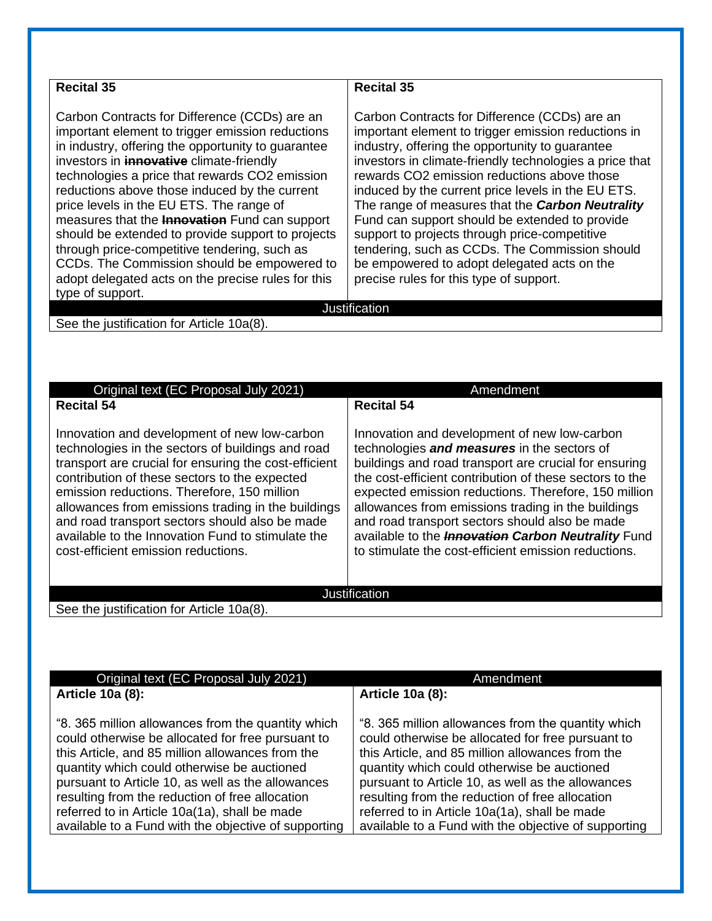| <b>Recital 35</b>                                                                                                                                                                                                                                                                                                                                                                                                                                                                                                                                                                                                                               | <b>Recital 35</b>                                                                                                                                                                                                                                                                                                                                                                                                                                                                                                                                                                                                                 |
|-------------------------------------------------------------------------------------------------------------------------------------------------------------------------------------------------------------------------------------------------------------------------------------------------------------------------------------------------------------------------------------------------------------------------------------------------------------------------------------------------------------------------------------------------------------------------------------------------------------------------------------------------|-----------------------------------------------------------------------------------------------------------------------------------------------------------------------------------------------------------------------------------------------------------------------------------------------------------------------------------------------------------------------------------------------------------------------------------------------------------------------------------------------------------------------------------------------------------------------------------------------------------------------------------|
| Carbon Contracts for Difference (CCDs) are an<br>important element to trigger emission reductions<br>in industry, offering the opportunity to guarantee<br>investors in <b>innovative</b> climate-friendly<br>technologies a price that rewards CO2 emission<br>reductions above those induced by the current<br>price levels in the EU ETS. The range of<br>measures that the <b>Innovation</b> Fund can support<br>should be extended to provide support to projects<br>through price-competitive tendering, such as<br>CCDs. The Commission should be empowered to<br>adopt delegated acts on the precise rules for this<br>type of support. | Carbon Contracts for Difference (CCDs) are an<br>important element to trigger emission reductions in<br>industry, offering the opportunity to quarantee<br>investors in climate-friendly technologies a price that<br>rewards CO2 emission reductions above those<br>induced by the current price levels in the EU ETS.<br>The range of measures that the <b>Carbon Neutrality</b><br>Fund can support should be extended to provide<br>support to projects through price-competitive<br>tendering, such as CCDs. The Commission should<br>be empowered to adopt delegated acts on the<br>precise rules for this type of support. |
|                                                                                                                                                                                                                                                                                                                                                                                                                                                                                                                                                                                                                                                 | Justification                                                                                                                                                                                                                                                                                                                                                                                                                                                                                                                                                                                                                     |
| See the justification for Article 10a(8).                                                                                                                                                                                                                                                                                                                                                                                                                                                                                                                                                                                                       |                                                                                                                                                                                                                                                                                                                                                                                                                                                                                                                                                                                                                                   |
|                                                                                                                                                                                                                                                                                                                                                                                                                                                                                                                                                                                                                                                 |                                                                                                                                                                                                                                                                                                                                                                                                                                                                                                                                                                                                                                   |
| Original text (EC Proposal July 2021)                                                                                                                                                                                                                                                                                                                                                                                                                                                                                                                                                                                                           | Amendment                                                                                                                                                                                                                                                                                                                                                                                                                                                                                                                                                                                                                         |
| Recital 54                                                                                                                                                                                                                                                                                                                                                                                                                                                                                                                                                                                                                                      | Recital 54                                                                                                                                                                                                                                                                                                                                                                                                                                                                                                                                                                                                                        |

Innovation and development of new low-carbon technologies in the sectors of buildings and road transport are crucial for ensuring the cost-efficient contribution of these sectors to the expected emission reductions. Therefore, 150 million allowances from emissions trading in the buildings and road transport sectors should also be made available to the Innovation Fund to stimulate the cost-efficient emission reductions.

Innovation and development of new low-carbon technologies *and measures* in the sectors of buildings and road transport are crucial for ensuring the cost-efficient contribution of these sectors to the expected emission reductions. Therefore, 150 million allowances from emissions trading in the buildings and road transport sectors should also be made available to the *Innovation Carbon Neutrality* Fund to stimulate the cost-efficient emission reductions.

**Justification** 

See the justification for Article 10a(8).

| Original text (EC Proposal July 2021)                                                                                                                                                                                                                                                                                                                                                                                       | Amendment                                                                                                                                                                                                                                                                                                                                                                                                                   |
|-----------------------------------------------------------------------------------------------------------------------------------------------------------------------------------------------------------------------------------------------------------------------------------------------------------------------------------------------------------------------------------------------------------------------------|-----------------------------------------------------------------------------------------------------------------------------------------------------------------------------------------------------------------------------------------------------------------------------------------------------------------------------------------------------------------------------------------------------------------------------|
| Article 10a (8):                                                                                                                                                                                                                                                                                                                                                                                                            | <b>Article 10a (8):</b>                                                                                                                                                                                                                                                                                                                                                                                                     |
| "8. 365 million allowances from the quantity which<br>could otherwise be allocated for free pursuant to<br>this Article, and 85 million allowances from the<br>quantity which could otherwise be auctioned<br>pursuant to Article 10, as well as the allowances<br>resulting from the reduction of free allocation<br>referred to in Article 10a(1a), shall be made<br>available to a Fund with the objective of supporting | "8. 365 million allowances from the quantity which<br>could otherwise be allocated for free pursuant to<br>this Article, and 85 million allowances from the<br>quantity which could otherwise be auctioned<br>pursuant to Article 10, as well as the allowances<br>resulting from the reduction of free allocation<br>referred to in Article 10a(1a), shall be made<br>available to a Fund with the objective of supporting |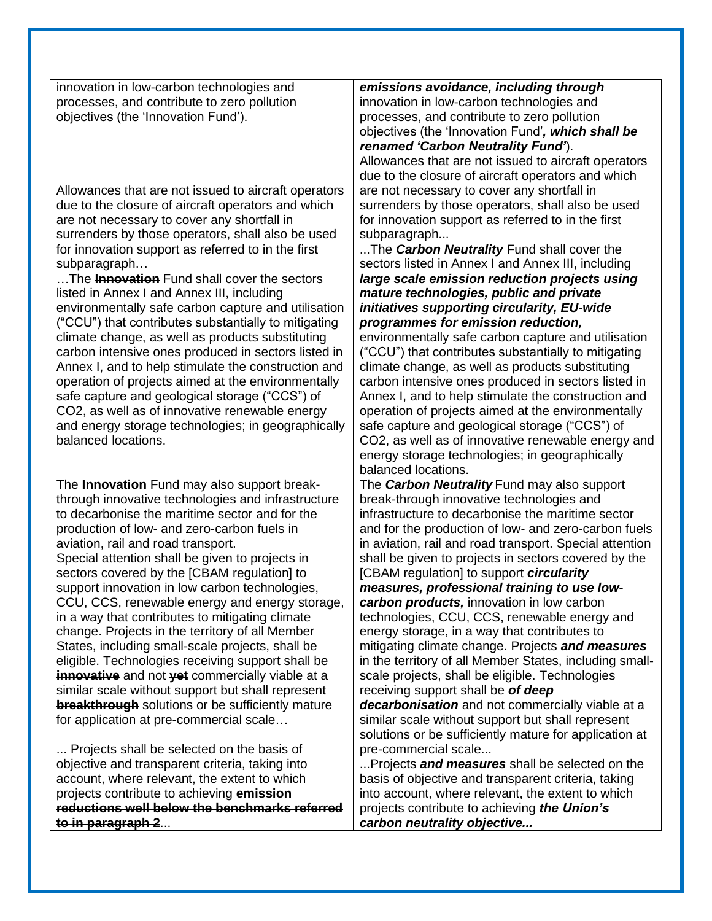innovation in low-carbon technologies and processes, and contribute to zero pollution objectives (the 'Innovation Fund').

Allowances that are not issued to aircraft operators due to the closure of aircraft operators and which are not necessary to cover any shortfall in surrenders by those operators, shall also be used for innovation support as referred to in the first subparagraph…

…The **Innovation** Fund shall cover the sectors listed in Annex I and Annex III, including environmentally safe carbon capture and utilisation ("CCU") that contributes substantially to mitigating climate change, as well as products substituting carbon intensive ones produced in sectors listed in Annex I, and to help stimulate the construction and operation of projects aimed at the environmentally safe capture and geological storage ("CCS") of CO2, as well as of innovative renewable energy and energy storage technologies; in geographically balanced locations.

The **Innovation** Fund may also support breakthrough innovative technologies and infrastructure to decarbonise the maritime sector and for the production of low- and zero-carbon fuels in aviation, rail and road transport. Special attention shall be given to projects in sectors covered by the [CBAM regulation] to support innovation in low carbon technologies, CCU, CCS, renewable energy and energy storage, in a way that contributes to mitigating climate change. Projects in the territory of all Member States, including small-scale projects, shall be eligible. Technologies receiving support shall be **innovative** and not **yet** commercially viable at a similar scale without support but shall represent **breakthrough** solutions or be sufficiently mature for application at pre-commercial scale…

... Projects shall be selected on the basis of objective and transparent criteria, taking into account, where relevant, the extent to which projects contribute to achieving **emission reductions well below the benchmarks referred to in paragraph 2**...

*emissions avoidance, including through* innovation in low-carbon technologies and processes, and contribute to zero pollution objectives (the 'Innovation Fund'*, which shall be renamed 'Carbon Neutrality Fund'*).

Allowances that are not issued to aircraft operators due to the closure of aircraft operators and which are not necessary to cover any shortfall in surrenders by those operators, shall also be used for innovation support as referred to in the first subparagraph...

...The *Carbon Neutrality* Fund shall cover the sectors listed in Annex I and Annex III, including *large scale emission reduction projects using mature technologies, public and private initiatives supporting circularity, EU-wide programmes for emission reduction,*

environmentally safe carbon capture and utilisation ("CCU") that contributes substantially to mitigating climate change, as well as products substituting carbon intensive ones produced in sectors listed in Annex I, and to help stimulate the construction and operation of projects aimed at the environmentally safe capture and geological storage ("CCS") of CO2, as well as of innovative renewable energy and energy storage technologies; in geographically balanced locations.

The *Carbon Neutrality* Fund may also support break-through innovative technologies and infrastructure to decarbonise the maritime sector and for the production of low- and zero-carbon fuels in aviation, rail and road transport. Special attention shall be given to projects in sectors covered by the [CBAM regulation] to support *circularity* 

*measures, professional training to use lowcarbon products,* innovation in low carbon technologies, CCU, CCS, renewable energy and energy storage, in a way that contributes to mitigating climate change. Projects *and measures* in the territory of all Member States, including smallscale projects, shall be eligible. Technologies receiving support shall be *of deep* 

*decarbonisation* and not commercially viable at a similar scale without support but shall represent solutions or be sufficiently mature for application at pre-commercial scale...

...Projects *and measures* shall be selected on the basis of objective and transparent criteria, taking into account, where relevant, the extent to which projects contribute to achieving *the Union's carbon neutrality objective...*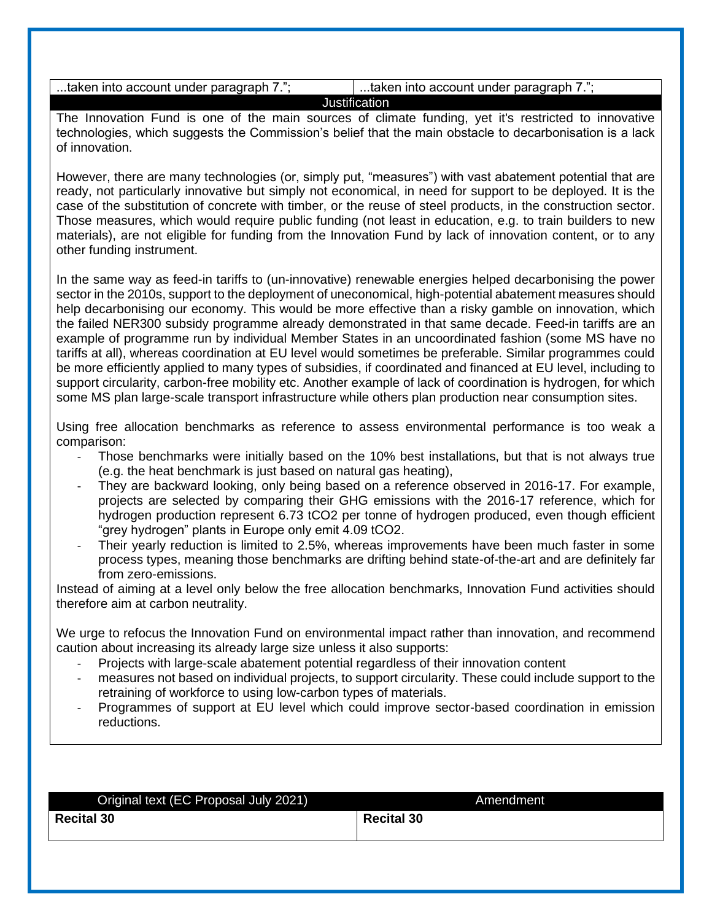...taken into account under paragraph  $7.$ ";  $\qquad$  | ...taken into account under paragraph  $7.$ "; **Justification** 

The Innovation Fund is one of the main sources of climate funding, yet it's restricted to innovative technologies, which suggests the Commission's belief that the main obstacle to decarbonisation is a lack of innovation.

However, there are many technologies (or, simply put, "measures") with vast abatement potential that are ready, not particularly innovative but simply not economical, in need for support to be deployed. It is the case of the substitution of concrete with timber, or the reuse of steel products, in the construction sector. Those measures, which would require public funding (not least in education, e.g. to train builders to new materials), are not eligible for funding from the Innovation Fund by lack of innovation content, or to any other funding instrument.

In the same way as feed-in tariffs to (un-innovative) renewable energies helped decarbonising the power sector in the 2010s, support to the deployment of uneconomical, high-potential abatement measures should help decarbonising our economy. This would be more effective than a risky gamble on innovation, which the failed NER300 subsidy programme already demonstrated in that same decade. Feed-in tariffs are an example of programme run by individual Member States in an uncoordinated fashion (some MS have no tariffs at all), whereas coordination at EU level would sometimes be preferable. Similar programmes could be more efficiently applied to many types of subsidies, if coordinated and financed at EU level, including to support circularity, carbon-free mobility etc. Another example of lack of coordination is hydrogen, for which some MS plan large-scale transport infrastructure while others plan production near consumption sites.

Using free allocation benchmarks as reference to assess environmental performance is too weak a comparison:

- Those benchmarks were initially based on the 10% best installations, but that is not always true (e.g. the heat benchmark is just based on natural gas heating),
- They are backward looking, only being based on a reference observed in 2016-17. For example. projects are selected by comparing their GHG emissions with the 2016-17 reference, which for hydrogen production represent 6.73 tCO2 per tonne of hydrogen produced, even though efficient "grey hydrogen" plants in Europe only emit 4.09 tCO2.
- Their yearly reduction is limited to 2.5%, whereas improvements have been much faster in some process types, meaning those benchmarks are drifting behind state-of-the-art and are definitely far from zero-emissions.

Instead of aiming at a level only below the free allocation benchmarks, Innovation Fund activities should therefore aim at carbon neutrality.

We urge to refocus the Innovation Fund on environmental impact rather than innovation, and recommend caution about increasing its already large size unless it also supports:

- Projects with large-scale abatement potential regardless of their innovation content
- measures not based on individual projects, to support circularity. These could include support to the retraining of workforce to using low-carbon types of materials.
- Programmes of support at EU level which could improve sector-based coordination in emission reductions.

| Original text (EC Proposal July 2021) | Amendment         |
|---------------------------------------|-------------------|
| <b>Recital 30</b>                     | <b>Recital 30</b> |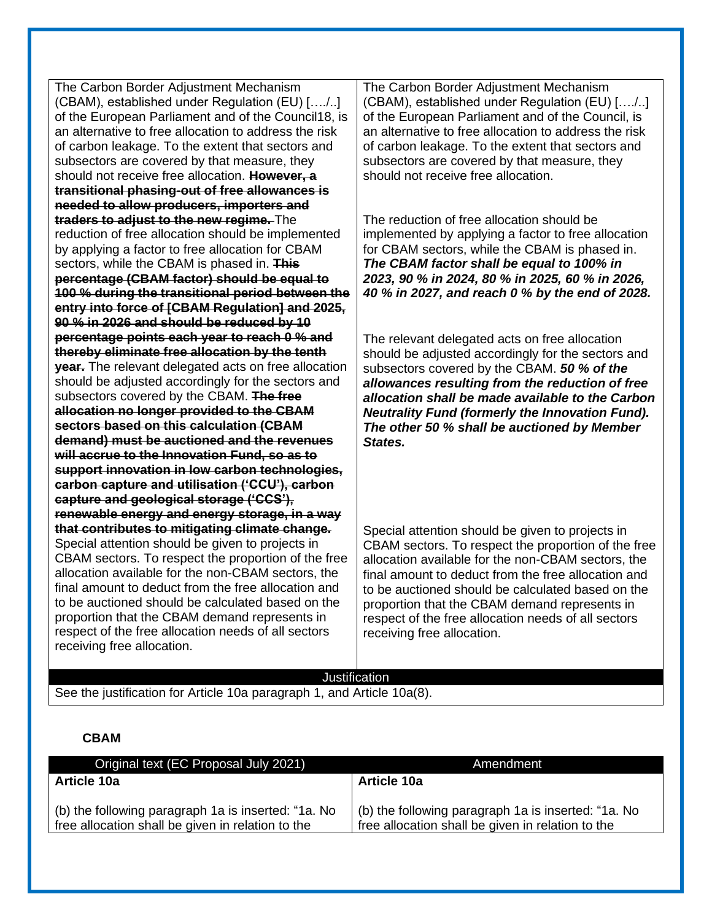The Carbon Border Adjustment Mechanism (CBAM), established under Regulation (EU) […./..] of the European Parliament and of the Council18, is an alternative to free allocation to address the risk of carbon leakage. To the extent that sectors and subsectors are covered by that measure, they should not receive free allocation. **However, a transitional phasing-out of free allowances is needed to allow producers, importers and traders to adjust to the new regime.** The reduction of free allocation should be implemented by applying a factor to free allocation for CBAM sectors, while the CBAM is phased in. **This percentage (CBAM factor) should be equal to 100 % during the transitional period between the entry into force of [CBAM Regulation] and 2025, 90 % in 2026 and should be reduced by 10 percentage points each year to reach 0 % and thereby eliminate free allocation by the tenth year.** The relevant delegated acts on free allocation should be adjusted accordingly for the sectors and subsectors covered by the CBAM. **The free allocation no longer provided to the CBAM sectors based on this calculation (CBAM demand) must be auctioned and the revenues will accrue to the Innovation Fund, so as to support innovation in low carbon technologies, carbon capture and utilisation ('CCU'), carbon capture and geological storage ('CCS'), renewable energy and energy storage, in a way that contributes to mitigating climate change.**  Special attention should be given to projects in CBAM sectors. To respect the proportion of the free allocation available for the non-CBAM sectors, the final amount to deduct from the free allocation and to be auctioned should be calculated based on the proportion that the CBAM demand represents in respect of the free allocation needs of all sectors receiving free allocation. The Carbon Border Adjustment Mechanism (CBAM), established under Regulation (EU) […./..] of the European Parliament and of the Council, is an alternative to free allocation to address the risk of carbon leakage. To the extent that sectors and subsectors are covered by that measure, they should not receive free allocation. The reduction of free allocation should be implemented by applying a factor to free allocation for CBAM sectors, while the CBAM is phased in. *The CBAM factor shall be equal to 100% in 2023, 90 % in 2024, 80 % in 2025, 60 % in 2026, 40 % in 2027, and reach 0 % by the end of 2028.*  The relevant delegated acts on free allocation should be adjusted accordingly for the sectors and subsectors covered by the CBAM. *50 % of the allowances resulting from the reduction of free allocation shall be made available to the Carbon Neutrality Fund (formerly the Innovation Fund). The other 50 % shall be auctioned by Member States.* Special attention should be given to projects in CBAM sectors. To respect the proportion of the free allocation available for the non-CBAM sectors, the final amount to deduct from the free allocation and to be auctioned should be calculated based on the proportion that the CBAM demand represents in respect of the free allocation needs of all sectors receiving free allocation.

#### **Justification**

See the justification for Article 10a paragraph 1, and Article 10a(8).

#### **CBAM**

| Original text (EC Proposal July 2021)                                                                    | Amendment                                                                                                |
|----------------------------------------------------------------------------------------------------------|----------------------------------------------------------------------------------------------------------|
| <b>Article 10a</b>                                                                                       | <b>Article 10a</b>                                                                                       |
| (b) the following paragraph 1a is inserted: "1a. No<br>free allocation shall be given in relation to the | (b) the following paragraph 1a is inserted: "1a. No<br>free allocation shall be given in relation to the |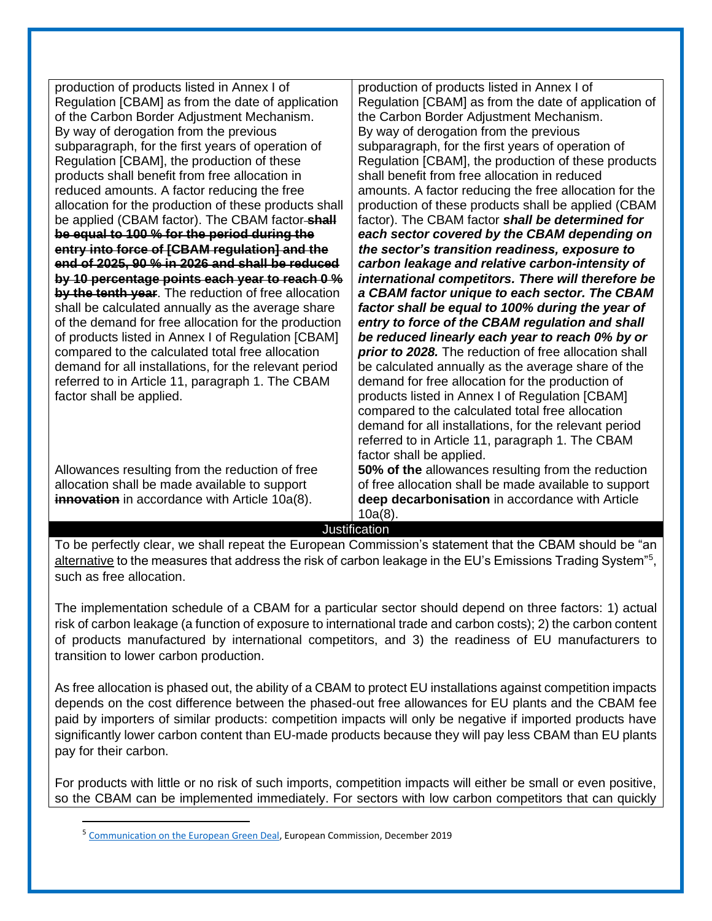| production of products listed in Annex I of<br>Regulation [CBAM] as from the date of application<br>of the Carbon Border Adjustment Mechanism.<br>By way of derogation from the previous<br>subparagraph, for the first years of operation of<br>Regulation [CBAM], the production of these<br>products shall benefit from free allocation in<br>reduced amounts. A factor reducing the free<br>allocation for the production of these products shall<br>be applied (CBAM factor). The CBAM factor-shall<br>be equal to 100 % for the period during the<br>entry into force of [CBAM regulation] and the<br>end of 2025, 90 % in 2026 and shall be reduced | production of products listed in Annex I of<br>Regulation [CBAM] as from the date of application of<br>the Carbon Border Adjustment Mechanism.<br>By way of derogation from the previous<br>subparagraph, for the first years of operation of<br>Regulation [CBAM], the production of these products<br>shall benefit from free allocation in reduced<br>amounts. A factor reducing the free allocation for the<br>production of these products shall be applied (CBAM<br>factor). The CBAM factor shall be determined for<br>each sector covered by the CBAM depending on<br>the sector's transition readiness, exposure to<br>carbon leakage and relative carbon-intensity of |
|------------------------------------------------------------------------------------------------------------------------------------------------------------------------------------------------------------------------------------------------------------------------------------------------------------------------------------------------------------------------------------------------------------------------------------------------------------------------------------------------------------------------------------------------------------------------------------------------------------------------------------------------------------|---------------------------------------------------------------------------------------------------------------------------------------------------------------------------------------------------------------------------------------------------------------------------------------------------------------------------------------------------------------------------------------------------------------------------------------------------------------------------------------------------------------------------------------------------------------------------------------------------------------------------------------------------------------------------------|
| by 10 percentage points each year to reach 0 %<br>by the tenth year. The reduction of free allocation                                                                                                                                                                                                                                                                                                                                                                                                                                                                                                                                                      | international competitors. There will therefore be<br>a CBAM factor unique to each sector. The CBAM                                                                                                                                                                                                                                                                                                                                                                                                                                                                                                                                                                             |
|                                                                                                                                                                                                                                                                                                                                                                                                                                                                                                                                                                                                                                                            |                                                                                                                                                                                                                                                                                                                                                                                                                                                                                                                                                                                                                                                                                 |
| shall be calculated annually as the average share<br>of the demand for free allocation for the production                                                                                                                                                                                                                                                                                                                                                                                                                                                                                                                                                  | factor shall be equal to 100% during the year of<br>entry to force of the CBAM regulation and shall                                                                                                                                                                                                                                                                                                                                                                                                                                                                                                                                                                             |
| of products listed in Annex I of Regulation [CBAM]                                                                                                                                                                                                                                                                                                                                                                                                                                                                                                                                                                                                         | be reduced linearly each year to reach 0% by or                                                                                                                                                                                                                                                                                                                                                                                                                                                                                                                                                                                                                                 |
| compared to the calculated total free allocation                                                                                                                                                                                                                                                                                                                                                                                                                                                                                                                                                                                                           | prior to 2028. The reduction of free allocation shall                                                                                                                                                                                                                                                                                                                                                                                                                                                                                                                                                                                                                           |
| demand for all installations, for the relevant period                                                                                                                                                                                                                                                                                                                                                                                                                                                                                                                                                                                                      | be calculated annually as the average share of the                                                                                                                                                                                                                                                                                                                                                                                                                                                                                                                                                                                                                              |
| referred to in Article 11, paragraph 1. The CBAM                                                                                                                                                                                                                                                                                                                                                                                                                                                                                                                                                                                                           | demand for free allocation for the production of                                                                                                                                                                                                                                                                                                                                                                                                                                                                                                                                                                                                                                |
| factor shall be applied.                                                                                                                                                                                                                                                                                                                                                                                                                                                                                                                                                                                                                                   | products listed in Annex I of Regulation [CBAM]                                                                                                                                                                                                                                                                                                                                                                                                                                                                                                                                                                                                                                 |
|                                                                                                                                                                                                                                                                                                                                                                                                                                                                                                                                                                                                                                                            | compared to the calculated total free allocation                                                                                                                                                                                                                                                                                                                                                                                                                                                                                                                                                                                                                                |
|                                                                                                                                                                                                                                                                                                                                                                                                                                                                                                                                                                                                                                                            | demand for all installations, for the relevant period                                                                                                                                                                                                                                                                                                                                                                                                                                                                                                                                                                                                                           |
|                                                                                                                                                                                                                                                                                                                                                                                                                                                                                                                                                                                                                                                            | referred to in Article 11, paragraph 1. The CBAM                                                                                                                                                                                                                                                                                                                                                                                                                                                                                                                                                                                                                                |
|                                                                                                                                                                                                                                                                                                                                                                                                                                                                                                                                                                                                                                                            | factor shall be applied.                                                                                                                                                                                                                                                                                                                                                                                                                                                                                                                                                                                                                                                        |
| Allowances resulting from the reduction of free                                                                                                                                                                                                                                                                                                                                                                                                                                                                                                                                                                                                            | 50% of the allowances resulting from the reduction                                                                                                                                                                                                                                                                                                                                                                                                                                                                                                                                                                                                                              |
| allocation shall be made available to support                                                                                                                                                                                                                                                                                                                                                                                                                                                                                                                                                                                                              | of free allocation shall be made available to support                                                                                                                                                                                                                                                                                                                                                                                                                                                                                                                                                                                                                           |
| innovation in accordance with Article 10a(8).                                                                                                                                                                                                                                                                                                                                                                                                                                                                                                                                                                                                              | deep decarbonisation in accordance with Article                                                                                                                                                                                                                                                                                                                                                                                                                                                                                                                                                                                                                                 |
|                                                                                                                                                                                                                                                                                                                                                                                                                                                                                                                                                                                                                                                            | $10a(8)$ .                                                                                                                                                                                                                                                                                                                                                                                                                                                                                                                                                                                                                                                                      |
|                                                                                                                                                                                                                                                                                                                                                                                                                                                                                                                                                                                                                                                            | <b>Justification</b>                                                                                                                                                                                                                                                                                                                                                                                                                                                                                                                                                                                                                                                            |

To be perfectly clear, we shall repeat the European Commission's statement that the CBAM should be "an alternative to the measures that address the risk of carbon leakage in the EU's Emissions Trading System"<sup>5</sup>, such as free allocation.

The implementation schedule of a CBAM for a particular sector should depend on three factors: 1) actual risk of carbon leakage (a function of exposure to international trade and carbon costs); 2) the carbon content of products manufactured by international competitors, and 3) the readiness of EU manufacturers to transition to lower carbon production.

As free allocation is phased out, the ability of a CBAM to protect EU installations against competition impacts depends on the cost difference between the phased-out free allowances for EU plants and the CBAM fee paid by importers of similar products: competition impacts will only be negative if imported products have significantly lower carbon content than EU-made products because they will pay less CBAM than EU plants pay for their carbon.

For products with little or no risk of such imports, competition impacts will either be small or even positive, so the CBAM can be implemented immediately. For sectors with low carbon competitors that can quickly

<sup>5</sup> [Communication on the European Green Deal,](https://ec.europa.eu/info/sites/default/files/european-green-deal-communication_en.pdf) European Commission, December 2019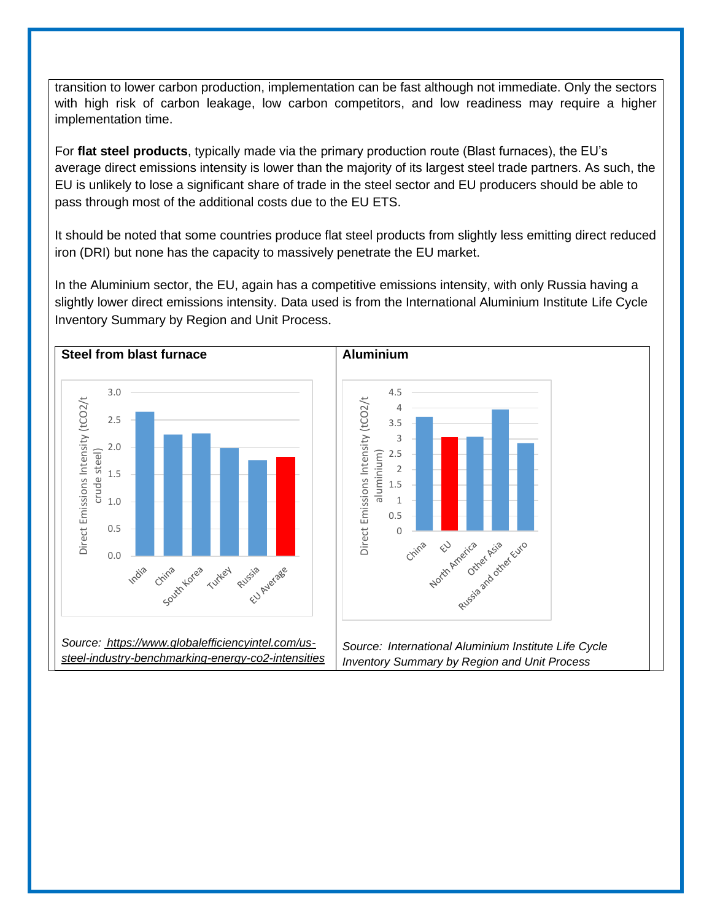transition to lower carbon production, implementation can be fast although not immediate. Only the sectors with high risk of carbon leakage, low carbon competitors, and low readiness may require a higher implementation time.

For **flat steel products**, typically made via the primary production route (Blast furnaces), the EU's average direct emissions intensity is lower than the majority of its largest steel trade partners. As such, the EU is unlikely to lose a significant share of trade in the steel sector and EU producers should be able to pass through most of the additional costs due to the EU ETS.

It should be noted that some countries produce flat steel products from slightly less emitting direct reduced iron (DRI) but none has the capacity to massively penetrate the EU market.

In the Aluminium sector, the EU, again has a competitive emissions intensity, with only Russia having a slightly lower direct emissions intensity. Data used is from the International Aluminium Institute Life Cycle Inventory Summary by Region and Unit Process.